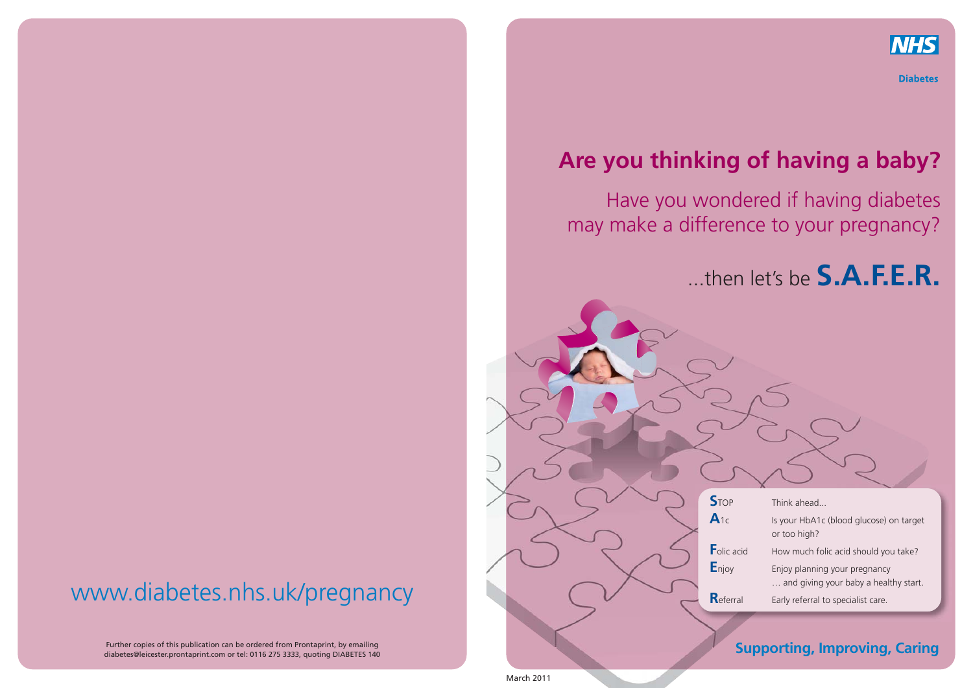

**Diabetes** 

## **Are you thinking of having a baby?**

Have you wondered if having diabetes may make a difference to your pregnancy?

...then let's be **S.A.F.E.R.**



### **Supporting, Improving, Caring**

www.diabetes.nhs.uk/pregnancy

Further copies of this publication can be ordered from Prontaprint, by emailing diabetes@leicester.prontaprint.com or tel: 0116 275 3333, quoting DIABETES 140